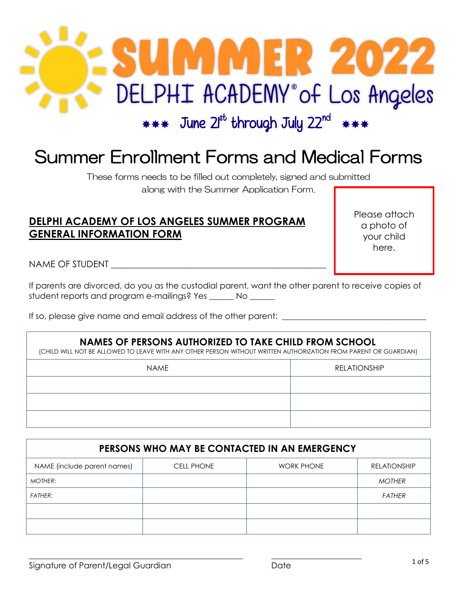

# Summer Enrollment Forms and Medical Forms

These forms needs to be filled out completely, signed and submitted along with the Summer Application Form.

## **DELPHI ACADEMY OF LOS ANGELES SUMMER PROGRAM GENERAL INFORMATION FORM**

Please attach a photo of your child here.

NAME OF STUDENT **WALLER** 

If parents are divorced, do you as the custodial parent, want the other parent to receive copies of student reports and program e-mailings? Yes \_\_\_\_\_\_ No \_\_\_\_\_\_

If so, please give name and email address of the other parent: \_\_\_\_\_\_\_\_\_\_\_\_\_\_\_\_\_\_

#### **NAMES OF PERSONS AUTHORIZED TO TAKE CHILD FROM SCHOOL**

(CHILD WILL NOT BE ALLOWED TO LEAVE WITH ANY OTHER PERSON WITHOUT WRITTEN AUTHORIZATION FROM PARENT OR GUARDIAN)

| <b>NAME</b> | <b>RELATIONSHIP</b> |
|-------------|---------------------|
|             |                     |
|             |                     |
|             |                     |

| PERSONS WHO MAY BE CONTACTED IN AN EMERGENCY |                   |                   |                     |  |
|----------------------------------------------|-------------------|-------------------|---------------------|--|
| NAME (include parent names)                  | <b>CELL PHONE</b> | <b>WORK PHONE</b> | <b>RELATIONSHIP</b> |  |
| MOTHER:                                      |                   |                   | <b>MOTHER</b>       |  |
| <b>FATHER:</b>                               |                   |                   | <b>FATHER</b>       |  |
|                                              |                   |                   |                     |  |
|                                              |                   |                   |                     |  |

 $\_$  , and the set of the set of the set of the set of the set of the set of the set of the set of the set of the set of the set of the set of the set of the set of the set of the set of the set of the set of the set of th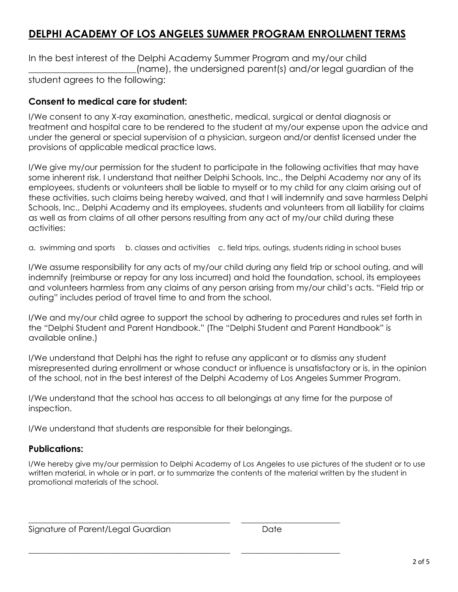# **DELPHI ACADEMY OF LOS ANGELES SUMMER PROGRAM ENROLLMENT TERMS**

In the best interest of the Delphi Academy Summer Program and my/our child (name), the undersigned parent(s) and/or legal guardian of the student agrees to the following:

#### **Consent to medical care for student:**

I/We consent to any X-ray examination, anesthetic, medical, surgical or dental diagnosis or treatment and hospital care to be rendered to the student at my/our expense upon the advice and under the general or special supervision of a physician, surgeon and/or dentist licensed under the provisions of applicable medical practice laws.

I/We give my/our permission for the student to participate in the following activities that may have some inherent risk. I understand that neither Delphi Schools, Inc., the Delphi Academy nor any of its employees, students or volunteers shall be liable to myself or to my child for any claim arising out of these activities, such claims being hereby waived, and that I will indemnify and save harmless Delphi Schools, Inc., Delphi Academy and its employees, students and volunteers from all liability for claims as well as from claims of all other persons resulting from any act of my/our child during these activities:

a. swimming and sports b. classes and activities c. field trips, outings, students riding in school buses

I/We assume responsibility for any acts of my/our child during any field trip or school outing, and will indemnify (reimburse or repay for any loss incurred) and hold the foundation, school, its employees and volunteers harmless from any claims of any person arising from my/our child's acts. "Field trip or outing" includes period of travel time to and from the school.

I/We and my/our child agree to support the school by adhering to procedures and rules set forth in the "Delphi Student and Parent Handbook." (The "Delphi Student and Parent Handbook" is available online.)

I/We understand that Delphi has the right to refuse any applicant or to dismiss any student misrepresented during enrollment or whose conduct or influence is unsatisfactory or is, in the opinion of the school, not in the best interest of the Delphi Academy of Los Angeles Summer Program.

I/We understand that the school has access to all belongings at any time for the purpose of inspection.

I/We understand that students are responsible for their belongings.

\_\_\_\_\_\_\_\_\_\_\_\_\_\_\_\_\_\_\_\_\_\_\_\_\_\_\_\_\_\_\_\_\_\_\_\_\_\_\_\_\_\_\_\_\_\_\_\_\_ \_\_\_\_\_\_\_\_\_\_\_\_\_\_\_\_\_\_\_\_\_\_\_\_

\_\_\_\_\_\_\_\_\_\_\_\_\_\_\_\_\_\_\_\_\_\_\_\_\_\_\_\_\_\_\_\_\_\_\_\_\_\_\_\_\_\_\_\_\_\_\_\_\_ \_\_\_\_\_\_\_\_\_\_\_\_\_\_\_\_\_\_\_\_\_\_\_\_

#### **Publications:**

I/We hereby give my/our permission to Delphi Academy of Los Angeles to use pictures of the student or to use written material, in whole or in part, or to summarize the contents of the material written by the student in promotional materials of the school.

Signature of Parent/Legal Guardian and Date Date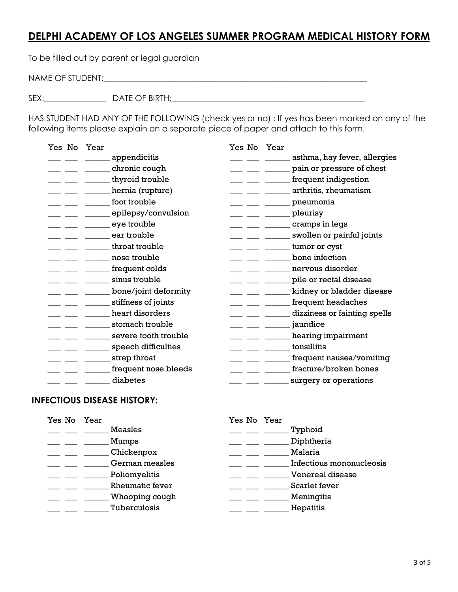## **DELPHI ACADEMY OF LOS ANGELES SUMMER PROGRAM MEDICAL HISTORY FORM**

To be filled out by parent or legal guardian

NAME OF STUDENT:\_\_\_\_\_\_\_\_\_\_\_\_\_\_\_\_\_\_\_\_\_\_\_\_\_\_\_\_\_\_\_\_\_\_\_\_\_\_\_\_\_\_\_\_\_\_\_\_\_\_\_\_\_\_\_\_\_\_\_\_\_\_\_\_

SEX:\_\_\_\_\_\_\_\_\_\_\_\_\_\_\_ DATE OF BIRTH:\_\_\_\_\_\_\_\_\_\_\_\_\_\_\_\_\_\_\_\_\_\_\_\_\_\_\_\_\_\_\_\_\_\_\_\_\_\_\_\_\_\_\_\_\_\_\_

HAS STUDENT HAD ANY OF THE FOLLOWING (check yes or no) : If yes has been marked on any of the following items please explain on a separate piece of paper and attach to this form.

| Yes No | Year                 | Yes No Year                                                                                         |                              |
|--------|----------------------|-----------------------------------------------------------------------------------------------------|------------------------------|
|        | appendicitis         |                                                                                                     | asthma, hay fever, allergies |
|        | chronic cough        | <u> 1990 - Jan James James III, primeiran</u>                                                       | pain or pressure of chest    |
|        | thyroid trouble      | $  -$                                                                                               | frequent indigestion         |
|        | hernia (rupture)     |                                                                                                     | arthritis, rheumatism        |
|        | foot trouble         | <u> 1999 - Jan James James III, pre</u>                                                             | pneumonia                    |
|        | epilepsy/convulsion  | $\overline{\phantom{a}}$ $\overline{\phantom{a}}$ $\overline{\phantom{a}}$ $\overline{\phantom{a}}$ | pleurisy                     |
|        | eye trouble          |                                                                                                     | cramps in legs               |
|        | ear trouble          |                                                                                                     | swollen or painful joints    |
|        | throat trouble       |                                                                                                     | tumor or cyst                |
|        | nose trouble         |                                                                                                     | bone infection               |
|        | frequent colds       |                                                                                                     | nervous disorder             |
|        | sinus trouble        |                                                                                                     | pile or rectal disease       |
|        | bone/joint deformity |                                                                                                     | kidney or bladder disease    |
|        | stiffness of joints  |                                                                                                     | frequent headaches           |
|        | heart disorders      |                                                                                                     | dizziness or fainting spells |
|        | stomach trouble      |                                                                                                     | jaundice                     |
|        | severe tooth trouble |                                                                                                     | hearing impairment           |
|        | speech difficulties  |                                                                                                     | tonsillitis                  |
|        | strep throat         |                                                                                                     | frequent nausea/vomiting     |
|        | frequent nose bleeds |                                                                                                     | fracture/broken bones        |
|        | diabetes             |                                                                                                     | surgery or operations        |
|        |                      |                                                                                                     |                              |

#### **INFECTIOUS DISEASE HISTORY:**

| Yes No Year |                        | Yes No Year              |
|-------------|------------------------|--------------------------|
|             | <b>Measles</b>         | Typhoid                  |
|             | Mumps                  | Diphtheria               |
|             | Chickenpox             | Malaria                  |
|             | German measles         | Infectious mononucleosis |
|             | Poliomyelitis          | <b>Venereal disease</b>  |
|             | <b>Rheumatic fever</b> | Scarlet fever            |
|             | Whooping cough         | Meningitis               |
|             | Tuberculosis           | Hepatitis                |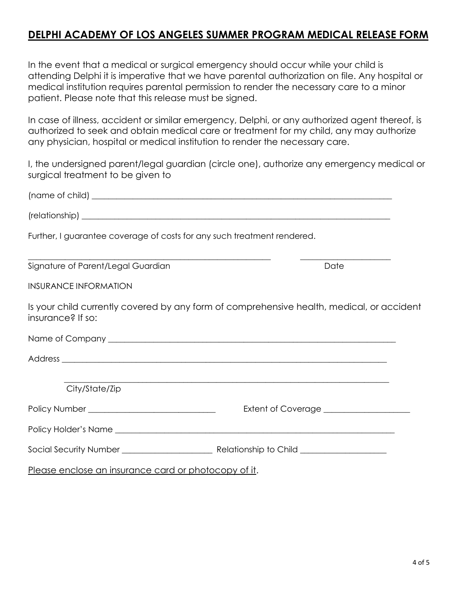## **DELPHI ACADEMY OF LOS ANGELES SUMMER PROGRAM MEDICAL RELEASE FORM**

In the event that a medical or surgical emergency should occur while your child is attending Delphi it is imperative that we have parental authorization on file. Any hospital or medical institution requires parental permission to render the necessary care to a minor patient. Please note that this release must be signed.

In case of illness, accident or similar emergency, Delphi, or any authorized agent thereof, is authorized to seek and obtain medical care or treatment for my child, any may authorize any physician, hospital or medical institution to render the necessary care.

I, the undersigned parent/legal guardian (circle one), authorize any emergency medical or surgical treatment to be given to

| Further, I guarantee coverage of costs for any such treatment rendered. |                                                                                           |
|-------------------------------------------------------------------------|-------------------------------------------------------------------------------------------|
| Signature of Parent/Legal Guardian                                      | Date                                                                                      |
| <b>INSURANCE INFORMATION</b>                                            |                                                                                           |
| insurance? If so:                                                       | Is your child currently covered by any form of comprehensive health, medical, or accident |
|                                                                         |                                                                                           |
|                                                                         |                                                                                           |
| City/State/Zip                                                          | ,我们也不能在这里的时候,我们也不能在这里的时候,我们也不能在这里的时候,我们也不能会在这里的时候,我们也不能会在这里的时候,我们也不能会在这里的时候,我们也不          |
| Policy Number ________________________________                          |                                                                                           |
|                                                                         |                                                                                           |
|                                                                         |                                                                                           |
| Please enclose an insurance card or photocopy of it.                    |                                                                                           |